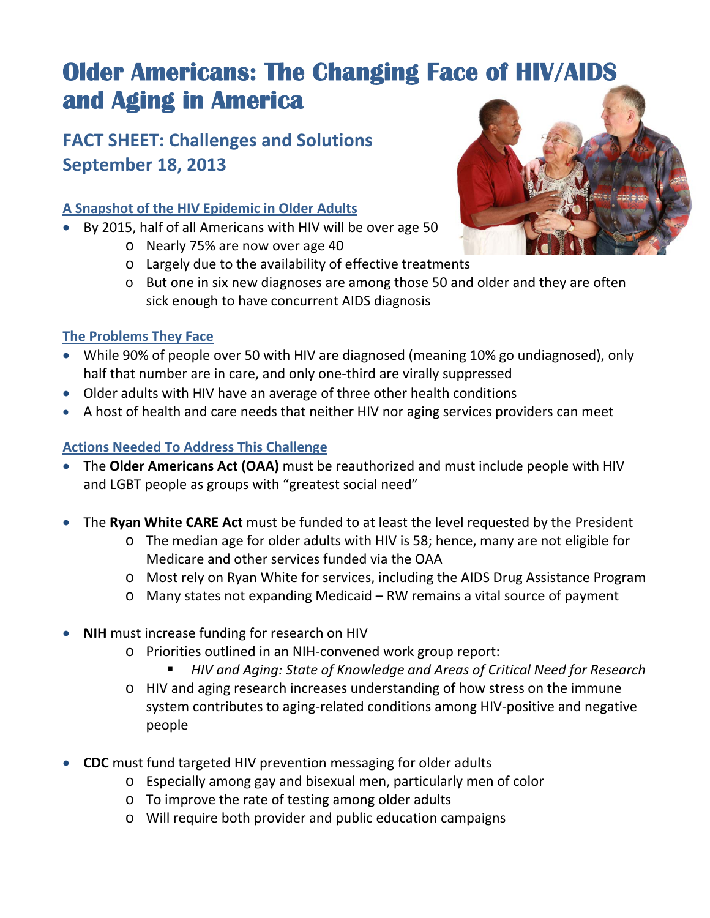## **Older Americans: The Changing Face of HIV/AIDS and Aging in America**

### **FACT SHEET: Challenges and Solutions September 18, 2013**

#### **A Snapshot of the HIV Epidemic in Older Adults**

- By 2015, half of all Americans with HIV will be over age 50
	- o Nearly 75% are now over age 40
	- o Largely due to the availability of effective treatments
	- o But one in six new diagnoses are among those 50 and older and they are often sick enough to have concurrent AIDS diagnosis

#### **The Problems They Face**

- While 90% of people over 50 with HIV are diagnosed (meaning 10% go undiagnosed), only half that number are in care, and only one‐third are virally suppressed
- Older adults with HIV have an average of three other health conditions
- A host of health and care needs that neither HIV nor aging services providers can meet

#### **Actions Needed To Address This Challenge**

- The **Older Americans Act (OAA)** must be reauthorized and must include people with HIV and LGBT people as groups with "greatest social need"
- The **Ryan White CARE Act** must be funded to at least the level requested by the President
	- o The median age for older adults with HIV is 58; hence, many are not eligible for Medicare and other services funded via the OAA
	- o Most rely on Ryan White for services, including the AIDS Drug Assistance Program
	- o Many states not expanding Medicaid RW remains a vital source of payment
- **NIH** must increase funding for research on HIV
	- o Priorities outlined in an NIH‐convened work group report:
		- *HIV and Aging: State of Knowledge and Areas of Critical Need for Research*
	- o HIV and aging research increases understanding of how stress on the immune system contributes to aging‐related conditions among HIV‐positive and negative people
- **CDC** must fund targeted HIV prevention messaging for older adults
	- o Especially among gay and bisexual men, particularly men of color
	- o To improve the rate of testing among older adults
	- o Will require both provider and public education campaigns